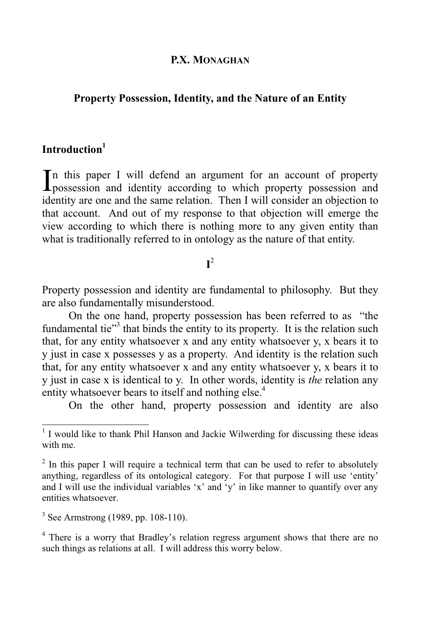#### **P.X. MONAGHAN**

## **Property Possession, Identity, and the Nature of an Entity**

# **Introduction<sup>1</sup>**

n this paper I will defend an argument for an account of property In this paper I will defend an argument for an account of property possession and identity according to which property possession and identity are one and the same relation. Then I will consider an objection to that account. And out of my response to that objection will emerge the view according to which there is nothing more to any given entity than what is traditionally referred to in ontology as the nature of that entity.

# **I** 2

Property possession and identity are fundamental to philosophy. But they are also fundamentally misunderstood.

 On the one hand, property possession has been referred to as "the fundamental tie"<sup>3</sup> that binds the entity to its property. It is the relation such that, for any entity whatsoever x and any entity whatsoever y, x bears it to y just in case x possesses y as a property. And identity is the relation such that, for any entity whatsoever x and any entity whatsoever y, x bears it to y just in case x is identical to y. In other words, identity is *the* relation any entity whatsoever bears to itself and nothing else.<sup>4</sup>

On the other hand, property possession and identity are also

 $3$  See Armstrong (1989, pp. 108-110).

<sup>4</sup> There is a worry that Bradley's relation regress argument shows that there are no such things as relations at all. I will address this worry below.

<sup>&</sup>lt;sup>1</sup> I would like to thank Phil Hanson and Jackie Wilwerding for discussing these ideas with me.

 $2$  In this paper I will require a technical term that can be used to refer to absolutely anything, regardless of its ontological category. For that purpose I will use 'entity' and I will use the individual variables 'x' and 'y' in like manner to quantify over any entities whatsoever.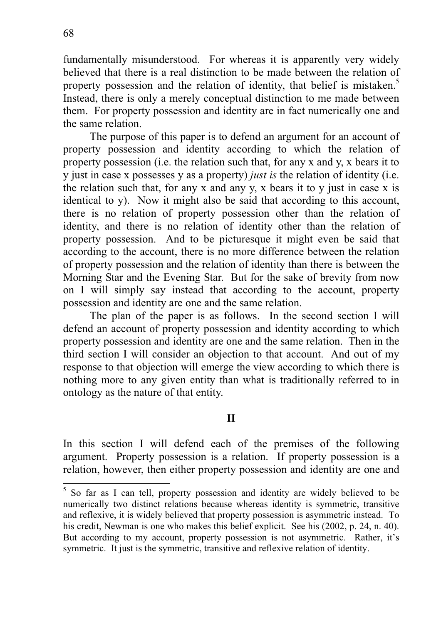fundamentally misunderstood. For whereas it is apparently very widely believed that there is a real distinction to be made between the relation of property possession and the relation of identity, that belief is mistaken.<sup>5</sup> Instead, there is only a merely conceptual distinction to me made between them. For property possession and identity are in fact numerically one and the same relation.

 The purpose of this paper is to defend an argument for an account of property possession and identity according to which the relation of property possession (i.e. the relation such that, for any x and y, x bears it to y just in case x possesses y as a property) *just is* the relation of identity (i.e. the relation such that, for any x and any y, x bears it to y just in case x is identical to y). Now it might also be said that according to this account, there is no relation of property possession other than the relation of identity, and there is no relation of identity other than the relation of property possession. And to be picturesque it might even be said that according to the account, there is no more difference between the relation of property possession and the relation of identity than there is between the Morning Star and the Evening Star. But for the sake of brevity from now on I will simply say instead that according to the account, property possession and identity are one and the same relation.

 The plan of the paper is as follows. In the second section I will defend an account of property possession and identity according to which property possession and identity are one and the same relation. Then in the third section I will consider an objection to that account. And out of my response to that objection will emerge the view according to which there is nothing more to any given entity than what is traditionally referred to in ontology as the nature of that entity.

## **II**

In this section I will defend each of the premises of the following argument. Property possession is a relation. If property possession is a relation, however, then either property possession and identity are one and

<sup>&</sup>lt;sup>5</sup> So far as I can tell, property possession and identity are widely believed to be numerically two distinct relations because whereas identity is symmetric, transitive and reflexive, it is widely believed that property possession is asymmetric instead. To his credit, Newman is one who makes this belief explicit. See his (2002, p. 24, n. 40). But according to my account, property possession is not asymmetric. Rather, it's symmetric. It just is the symmetric, transitive and reflexive relation of identity.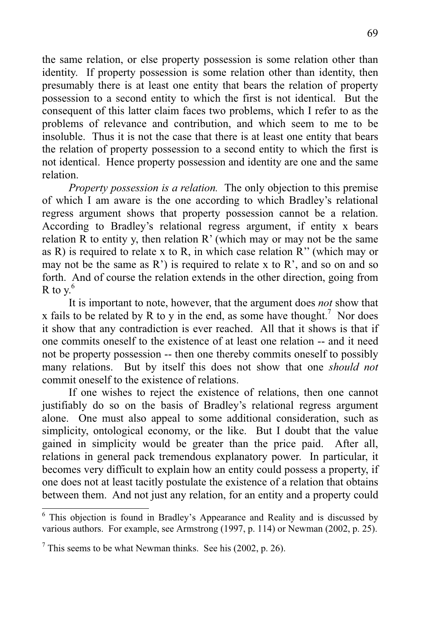the same relation, or else property possession is some relation other than identity. If property possession is some relation other than identity, then presumably there is at least one entity that bears the relation of property possession to a second entity to which the first is not identical. But the consequent of this latter claim faces two problems, which I refer to as the problems of relevance and contribution, and which seem to me to be insoluble. Thus it is not the case that there is at least one entity that bears the relation of property possession to a second entity to which the first is not identical. Hence property possession and identity are one and the same relation.

*Property possession is a relation.* The only objection to this premise of which I am aware is the one according to which Bradley's relational regress argument shows that property possession cannot be a relation. According to Bradley's relational regress argument, if entity x bears relation R to entity y, then relation  $R'$  (which may or may not be the same as R) is required to relate x to R, in which case relation R'' (which may or may not be the same as  $R'$ ) is required to relate x to  $R'$ , and so on and so forth. And of course the relation extends in the other direction, going from R to  $v<sup>6</sup>$ 

 It is important to note, however, that the argument does *not* show that x fails to be related by R to y in the end, as some have thought.<sup>7</sup> Nor does it show that any contradiction is ever reached. All that it shows is that if one commits oneself to the existence of at least one relation -- and it need not be property possession -- then one thereby commits oneself to possibly many relations. But by itself this does not show that one *should not* commit oneself to the existence of relations.

 If one wishes to reject the existence of relations, then one cannot justifiably do so on the basis of Bradley's relational regress argument alone. One must also appeal to some additional consideration, such as simplicity, ontological economy, or the like. But I doubt that the value gained in simplicity would be greater than the price paid. After all, relations in general pack tremendous explanatory power. In particular, it becomes very difficult to explain how an entity could possess a property, if one does not at least tacitly postulate the existence of a relation that obtains between them. And not just any relation, for an entity and a property could

 $\overline{a}$ 

<sup>&</sup>lt;sup>6</sup> This objection is found in Bradley's Appearance and Reality and is discussed by various authors. For example, see Armstrong (1997, p. 114) or Newman (2002, p. 25).

 $7$  This seems to be what Newman thinks. See his (2002, p. 26).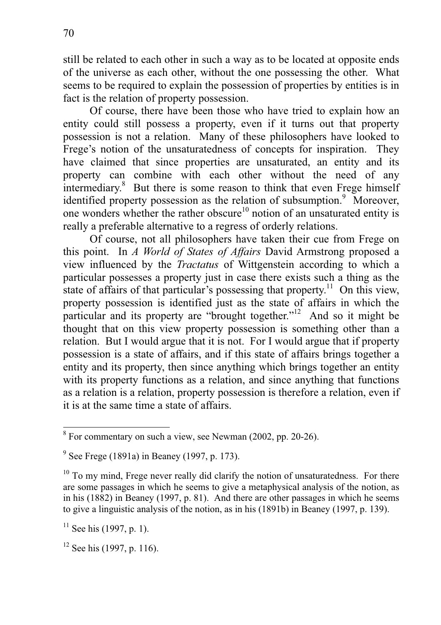still be related to each other in such a way as to be located at opposite ends of the universe as each other, without the one possessing the other. What seems to be required to explain the possession of properties by entities is in fact is the relation of property possession.

 Of course, there have been those who have tried to explain how an entity could still possess a property, even if it turns out that property possession is not a relation. Many of these philosophers have looked to Frege's notion of the unsaturatedness of concepts for inspiration. They have claimed that since properties are unsaturated, an entity and its property can combine with each other without the need of any intermediary.<sup>8</sup> But there is some reason to think that even Frege himself identified property possession as the relation of subsumption.<sup>9</sup> Moreover, one wonders whether the rather obscure<sup>10</sup> notion of an unsaturated entity is really a preferable alternative to a regress of orderly relations.

 Of course, not all philosophers have taken their cue from Frege on this point. In *A World of States of Affairs* David Armstrong proposed a view influenced by the *Tractatus* of Wittgenstein according to which a particular possesses a property just in case there exists such a thing as the state of affairs of that particular's possessing that property.<sup>11</sup> On this view, property possession is identified just as the state of affairs in which the particular and its property are "brought together."<sup>12</sup> And so it might be thought that on this view property possession is something other than a relation. But I would argue that it is not. For I would argue that if property possession is a state of affairs, and if this state of affairs brings together a entity and its property, then since anything which brings together an entity with its property functions as a relation, and since anything that functions as a relation is a relation, property possession is therefore a relation, even if it is at the same time a state of affairs.

 $\overline{\text{B}}$  For commentary on such a view, see Newman (2002, pp. 20-26).

<sup>&</sup>lt;sup>9</sup> See Frege (1891a) in Beaney (1997, p. 173).

 $10$  To my mind, Frege never really did clarify the notion of unsaturatedness. For there are some passages in which he seems to give a metaphysical analysis of the notion, as in his (1882) in Beaney (1997, p. 81). And there are other passages in which he seems to give a linguistic analysis of the notion, as in his (1891b) in Beaney (1997, p. 139).

 $11$  See his (1997, p. 1).

 $12$  See his (1997, p. 116).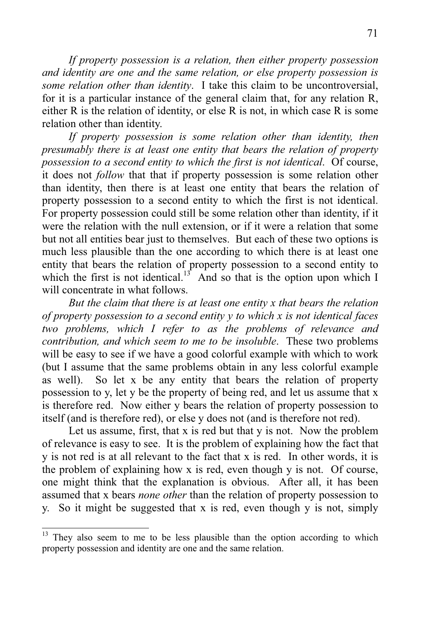*If property possession is a relation, then either property possession and identity are one and the same relation, or else property possession is some relation other than identity*. I take this claim to be uncontroversial, for it is a particular instance of the general claim that, for any relation R, either R is the relation of identity, or else R is not, in which case R is some relation other than identity.

If property possession is some relation other than identity, then *presumably there is at least one entity that bears the relation of property possession to a second entity to which the first is not identical*. Of course, it does not *follow* that that if property possession is some relation other than identity, then there is at least one entity that bears the relation of property possession to a second entity to which the first is not identical. For property possession could still be some relation other than identity, if it were the relation with the null extension, or if it were a relation that some but not all entities bear just to themselves. But each of these two options is much less plausible than the one according to which there is at least one entity that bears the relation of property possession to a second entity to which the first is not identical.<sup>13</sup> And so that is the option upon which I will concentrate in what follows.

*But the claim that there is at least one entity x that bears the relation of property possession to a second entity y to which x is not identical faces two problems, which I refer to as the problems of relevance and contribution, and which seem to me to be insoluble*. These two problems will be easy to see if we have a good colorful example with which to work (but I assume that the same problems obtain in any less colorful example as well). So let x be any entity that bears the relation of property possession to y, let y be the property of being red, and let us assume that x is therefore red. Now either y bears the relation of property possession to itself (and is therefore red), or else y does not (and is therefore not red).

Let us assume, first, that x is red but that y is not. Now the problem of relevance is easy to see. It is the problem of explaining how the fact that y is not red is at all relevant to the fact that x is red. In other words, it is the problem of explaining how x is red, even though y is not. Of course, one might think that the explanation is obvious. After all, it has been assumed that x bears *none other* than the relation of property possession to y. So it might be suggested that x is red, even though y is not, simply

<sup>13</sup> They also seem to me to be less plausible than the option according to which property possession and identity are one and the same relation.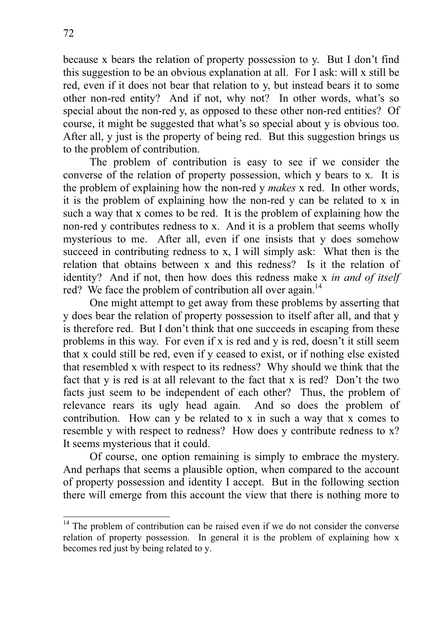because x bears the relation of property possession to y. But I don't find this suggestion to be an obvious explanation at all. For I ask: will x still be red, even if it does not bear that relation to y, but instead bears it to some other non-red entity? And if not, why not? In other words, what's so special about the non-red y, as opposed to these other non-red entities? Of course, it might be suggested that what's so special about y is obvious too. After all, y just is the property of being red. But this suggestion brings us to the problem of contribution.

 The problem of contribution is easy to see if we consider the converse of the relation of property possession, which y bears to x. It is the problem of explaining how the non-red y *makes* x red. In other words, it is the problem of explaining how the non-red y can be related to x in such a way that x comes to be red. It is the problem of explaining how the non-red y contributes redness to x. And it is a problem that seems wholly mysterious to me. After all, even if one insists that y does somehow succeed in contributing redness to x, I will simply ask: What then is the relation that obtains between x and this redness? Is it the relation of identity? And if not, then how does this redness make x *in and of itself*  red? We face the problem of contribution all over again.<sup>14</sup>

 One might attempt to get away from these problems by asserting that y does bear the relation of property possession to itself after all, and that y is therefore red. But I don't think that one succeeds in escaping from these problems in this way. For even if x is red and y is red, doesn't it still seem that x could still be red, even if y ceased to exist, or if nothing else existed that resembled x with respect to its redness? Why should we think that the fact that y is red is at all relevant to the fact that x is red? Don't the two facts just seem to be independent of each other? Thus, the problem of relevance rears its ugly head again. And so does the problem of contribution. How can y be related to x in such a way that x comes to resemble y with respect to redness? How does y contribute redness to x? It seems mysterious that it could.

 Of course, one option remaining is simply to embrace the mystery. And perhaps that seems a plausible option, when compared to the account of property possession and identity I accept. But in the following section there will emerge from this account the view that there is nothing more to

 $\overline{a}$ 

 $14$  The problem of contribution can be raised even if we do not consider the converse relation of property possession. In general it is the problem of explaining how x becomes red just by being related to y.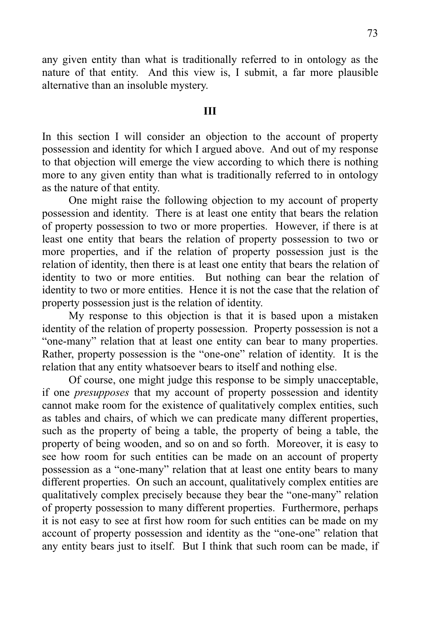any given entity than what is traditionally referred to in ontology as the nature of that entity. And this view is, I submit, a far more plausible alternative than an insoluble mystery.

#### **III**

In this section I will consider an objection to the account of property possession and identity for which I argued above. And out of my response to that objection will emerge the view according to which there is nothing more to any given entity than what is traditionally referred to in ontology as the nature of that entity.

 One might raise the following objection to my account of property possession and identity. There is at least one entity that bears the relation of property possession to two or more properties. However, if there is at least one entity that bears the relation of property possession to two or more properties, and if the relation of property possession just is the relation of identity, then there is at least one entity that bears the relation of identity to two or more entities. But nothing can bear the relation of identity to two or more entities. Hence it is not the case that the relation of property possession just is the relation of identity.

 My response to this objection is that it is based upon a mistaken identity of the relation of property possession. Property possession is not a "one-many" relation that at least one entity can bear to many properties. Rather, property possession is the "one-one" relation of identity. It is the relation that any entity whatsoever bears to itself and nothing else.

 Of course, one might judge this response to be simply unacceptable, if one *presupposes* that my account of property possession and identity cannot make room for the existence of qualitatively complex entities, such as tables and chairs, of which we can predicate many different properties, such as the property of being a table, the property of being a table, the property of being wooden, and so on and so forth. Moreover, it is easy to see how room for such entities can be made on an account of property possession as a "one-many" relation that at least one entity bears to many different properties. On such an account, qualitatively complex entities are qualitatively complex precisely because they bear the "one-many" relation of property possession to many different properties. Furthermore, perhaps it is not easy to see at first how room for such entities can be made on my account of property possession and identity as the "one-one" relation that any entity bears just to itself. But I think that such room can be made, if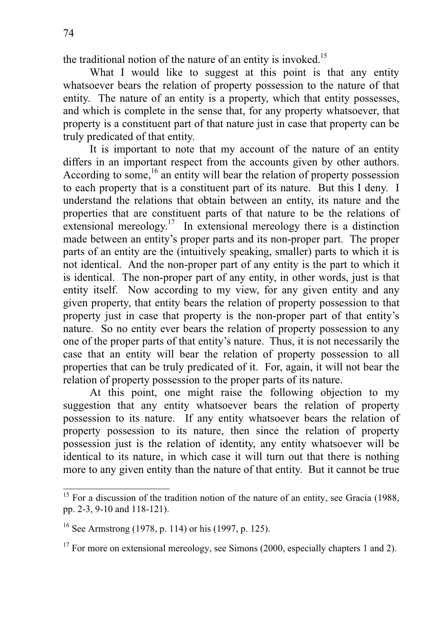-

the traditional notion of the nature of an entity is invoked.<sup>15</sup>

What I would like to suggest at this point is that any entity whatsoever bears the relation of property possession to the nature of that entity. The nature of an entity is a property, which that entity possesses, and which is complete in the sense that, for any property whatsoever, that property is a constituent part of that nature just in case that property can be truly predicated of that entity.

 It is important to note that my account of the nature of an entity differs in an important respect from the accounts given by other authors. According to some,  $^{16}$  an entity will bear the relation of property possession to each property that is a constituent part of its nature. But this I deny. I understand the relations that obtain between an entity, its nature and the properties that are constituent parts of that nature to be the relations of extensional mereology.<sup>17</sup> In extensional mereology there is a distinction made between an entity's proper parts and its non-proper part. The proper parts of an entity are the (intuitively speaking, smaller) parts to which it is not identical. And the non-proper part of any entity is the part to which it is identical. The non-proper part of any entity, in other words, just is that entity itself. Now according to my view, for any given entity and any given property, that entity bears the relation of property possession to that property just in case that property is the non-proper part of that entity's nature. So no entity ever bears the relation of property possession to any one of the proper parts of that entity's nature. Thus, it is not necessarily the case that an entity will bear the relation of property possession to all properties that can be truly predicated of it. For, again, it will not bear the relation of property possession to the proper parts of its nature.

 At this point, one might raise the following objection to my suggestion that any entity whatsoever bears the relation of property possession to its nature. If any entity whatsoever bears the relation of property possession to its nature, then since the relation of property possession just is the relation of identity, any entity whatsoever will be identical to its nature, in which case it will turn out that there is nothing more to any given entity than the nature of that entity. But it cannot be true

 $15$  For a discussion of the tradition notion of the nature of an entity, see Gracia (1988, pp. 2-3, 9-10 and 118-121).

<sup>&</sup>lt;sup>16</sup> See Armstrong (1978, p. 114) or his (1997, p. 125).

 $17$  For more on extensional mereology, see Simons (2000, especially chapters 1 and 2).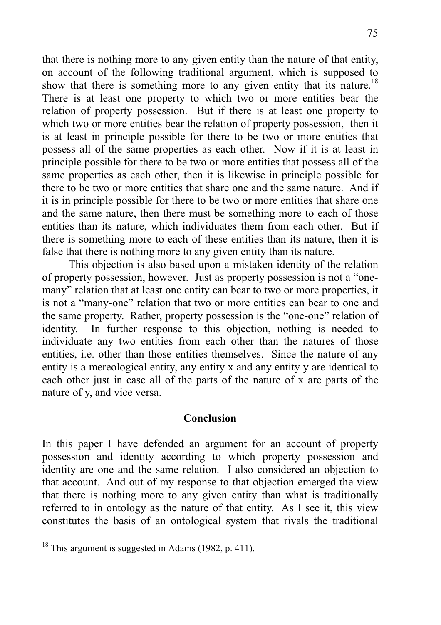that there is nothing more to any given entity than the nature of that entity, on account of the following traditional argument, which is supposed to show that there is something more to any given entity that its nature.<sup>18</sup> There is at least one property to which two or more entities bear the relation of property possession. But if there is at least one property to which two or more entities bear the relation of property possession, then it is at least in principle possible for there to be two or more entities that possess all of the same properties as each other. Now if it is at least in principle possible for there to be two or more entities that possess all of the same properties as each other, then it is likewise in principle possible for there to be two or more entities that share one and the same nature. And if it is in principle possible for there to be two or more entities that share one and the same nature, then there must be something more to each of those entities than its nature, which individuates them from each other. But if there is something more to each of these entities than its nature, then it is false that there is nothing more to any given entity than its nature.

 This objection is also based upon a mistaken identity of the relation of property possession, however. Just as property possession is not a "onemany" relation that at least one entity can bear to two or more properties, it is not a "many-one" relation that two or more entities can bear to one and the same property. Rather, property possession is the "one-one" relation of identity. In further response to this objection, nothing is needed to individuate any two entities from each other than the natures of those entities, i.e. other than those entities themselves. Since the nature of any entity is a mereological entity, any entity x and any entity y are identical to each other just in case all of the parts of the nature of x are parts of the nature of y, and vice versa.

### **Conclusion**

In this paper I have defended an argument for an account of property possession and identity according to which property possession and identity are one and the same relation. I also considered an objection to that account. And out of my response to that objection emerged the view that there is nothing more to any given entity than what is traditionally referred to in ontology as the nature of that entity. As I see it, this view constitutes the basis of an ontological system that rivals the traditional

-

 $18$  This argument is suggested in Adams (1982, p. 411).